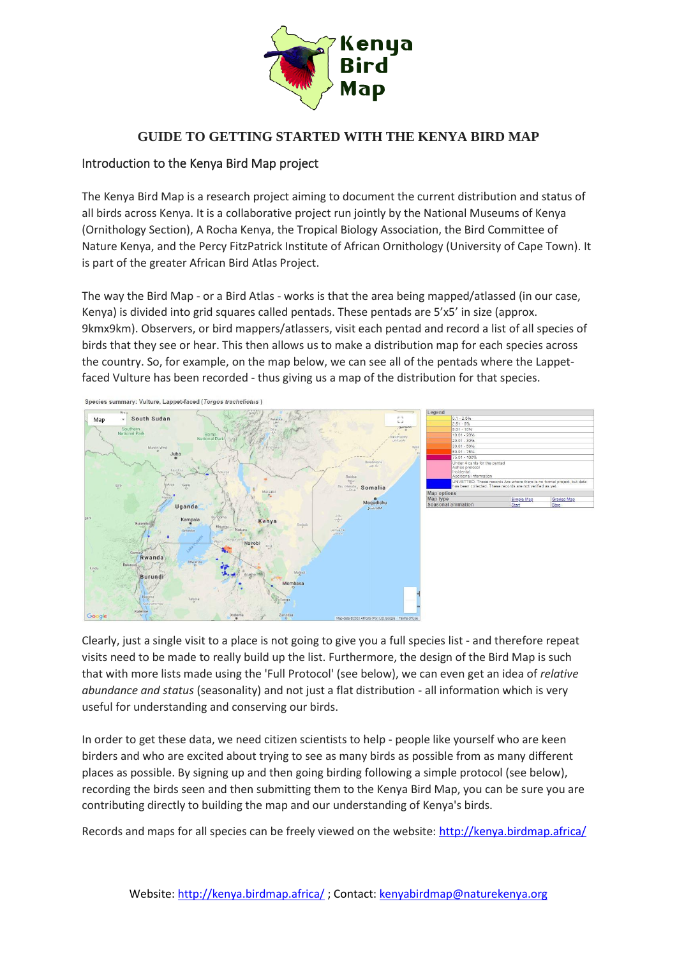

## **GUIDE TO GETTING STARTED WITH THE KENYA BIRD MAP**

### Introduction to the Kenya Bird Map project

The Kenya Bird Map is a research project aiming to document the current distribution and status of all birds across Kenya. It is a collaborative project run jointly by the National Museums of Kenya (Ornithology Section), A Rocha Kenya, the Tropical Biology Association, the Bird Committee of Nature Kenya, and the Percy FitzPatrick Institute of African Ornithology (University of Cape Town). It is part of the greater African Bird Atlas Project.

The way the Bird Map - or a Bird Atlas - works is that the area being mapped/atlassed (in our case, Kenya) is divided into grid squares called pentads. These pentads are 5'x5' in size (approx. 9kmx9km). Observers, or bird mappers/atlassers, visit each pentad and record a list of all species of birds that they see or hear. This then allows us to make a distribution map for each species across the country. So, for example, on the map below, we can see all of the pentads where the Lappetfaced Vulture has been recorded - thus giving us a map of the distribution for that species.



Species summary: Vulture, Lappet-faced (Torgos tracheliotus)

Clearly, just a single visit to a place is not going to give you a full species list - and therefore repeat visits need to be made to really build up the list. Furthermore, the design of the Bird Map is such that with more lists made using the 'Full Protocol' (see below), we can even get an idea of *relative abundance and status* (seasonality) and not just a flat distribution - all information which is very useful for understanding and conserving our birds.

In order to get these data, we need citizen scientists to help - people like yourself who are keen birders and who are excited about trying to see as many birds as possible from as many different places as possible. By signing up and then going birding following a simple protocol (see below), recording the birds seen and then submitting them to the Kenya Bird Map, you can be sure you are contributing directly to building the map and our understanding of Kenya's birds.

Records and maps for all species can be freely viewed on the website:<http://kenya.birdmap.africa/>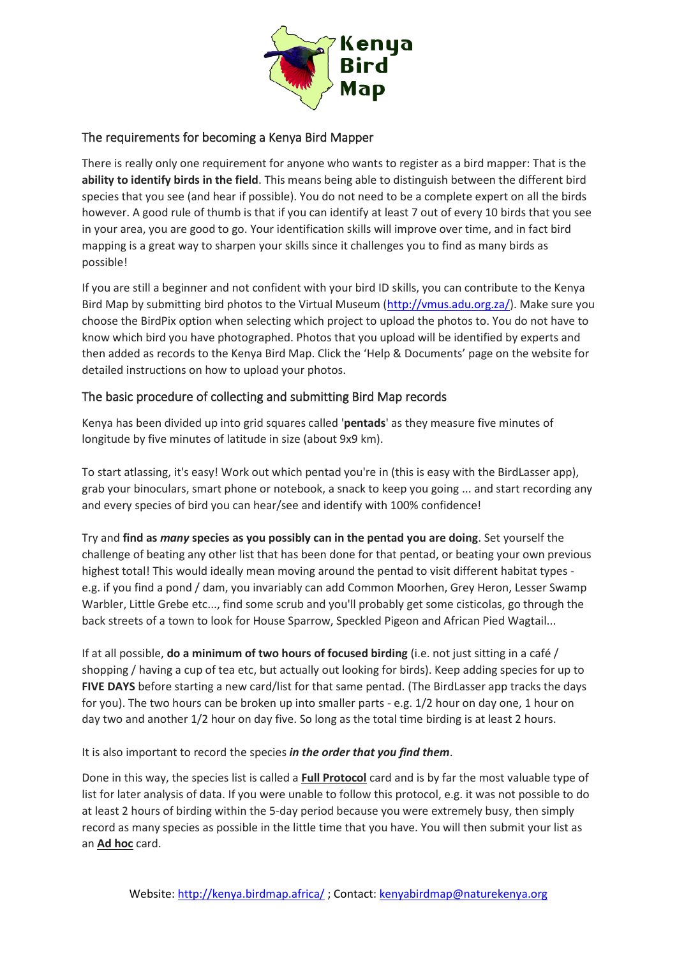

## The requirements for becoming a Kenya Bird Mapper

There is really only one requirement for anyone who wants to register as a bird mapper: That is the **ability to identify birds in the field**. This means being able to distinguish between the different bird species that you see (and hear if possible). You do not need to be a complete expert on all the birds however. A good rule of thumb is that if you can identify at least 7 out of every 10 birds that you see in your area, you are good to go. Your identification skills will improve over time, and in fact bird mapping is a great way to sharpen your skills since it challenges you to find as many birds as possible!

If you are still a beginner and not confident with your bird ID skills, you can contribute to the Kenya Bird Map by submitting bird photos to the Virtual Museum [\(http://vmus.adu.org.za/\)](http://vmus.adu.org.za/). Make sure you choose the BirdPix option when selecting which project to upload the photos to. You do not have to know which bird you have photographed. Photos that you upload will be identified by experts and then added as records to the Kenya Bird Map. Click the 'Help & Documents' page on the website for detailed instructions on how to upload your photos.

## The basic procedure of collecting and submitting Bird Map records

Kenya has been divided up into grid squares called '**pentads**' as they measure five minutes of longitude by five minutes of latitude in size (about 9x9 km).

To start atlassing, it's easy! Work out which pentad you're in (this is easy with the BirdLasser app), grab your binoculars, smart phone or notebook, a snack to keep you going ... and start recording any and every species of bird you can hear/see and identify with 100% confidence!

Try and **find as** *many* **species as you possibly can in the pentad you are doing**. Set yourself the challenge of beating any other list that has been done for that pentad, or beating your own previous highest total! This would ideally mean moving around the pentad to visit different habitat types e.g. if you find a pond / dam, you invariably can add Common Moorhen, Grey Heron, Lesser Swamp Warbler, Little Grebe etc..., find some scrub and you'll probably get some cisticolas, go through the back streets of a town to look for House Sparrow, Speckled Pigeon and African Pied Wagtail...

If at all possible, **do a minimum of two hours of focused birding** (i.e. not just sitting in a café / shopping / having a cup of tea etc, but actually out looking for birds). Keep adding species for up to **FIVE DAYS** before starting a new card/list for that same pentad. (The BirdLasser app tracks the days for you). The two hours can be broken up into smaller parts - e.g. 1/2 hour on day one, 1 hour on day two and another 1/2 hour on day five. So long as the total time birding is at least 2 hours.

It is also important to record the species *in the order that you find them*.

Done in this way, the species list is called a **Full Protocol** card and is by far the most valuable type of list for later analysis of data. If you were unable to follow this protocol, e.g. it was not possible to do at least 2 hours of birding within the 5-day period because you were extremely busy, then simply record as many species as possible in the little time that you have. You will then submit your list as an **Ad hoc** card.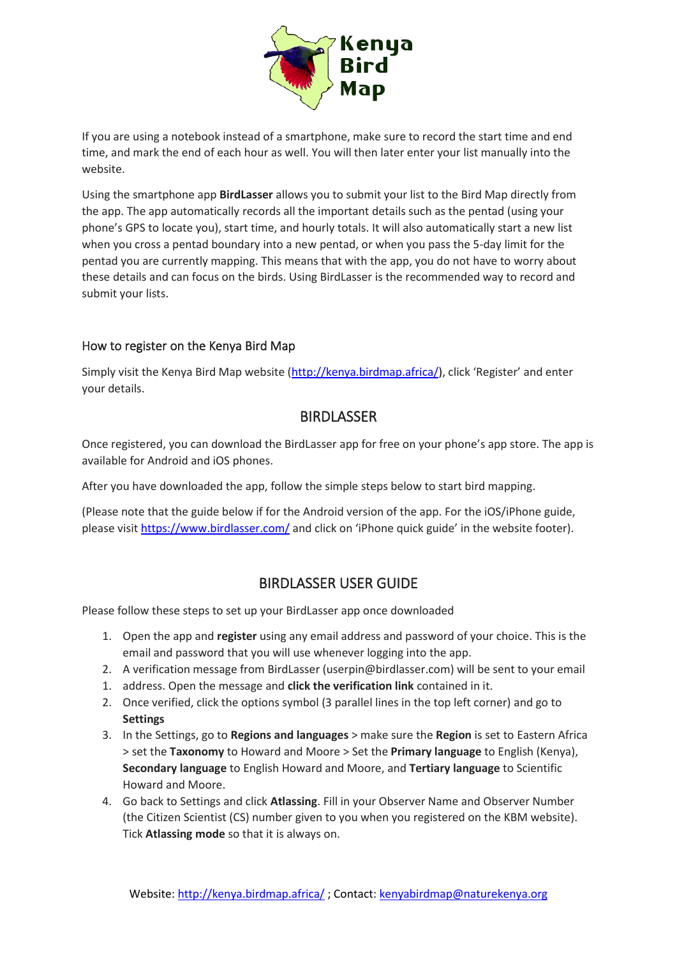

If you are using a notebook instead of a smartphone, make sure to record the start time and end time, and mark the end of each hour as well. You will then later enter your list manually into the website.

Using the smartphone app **BirdLasser** allows you to submit your list to the Bird Map directly from the app. The app automatically records all the important details such as the pentad (using your phone's GPS to locate you), start time, and hourly totals. It will also automatically start a new list when you cross a pentad boundary into a new pentad, or when you pass the 5-day limit for the pentad you are currently mapping. This means that with the app, you do not have to worry about these details and can focus on the birds. Using BirdLasser is the recommended way to record and submit your lists.

## How to register on the Kenya Bird Map

Simply visit the Kenya Bird Map website [\(http://kenya.birdmap.africa/\)](http://kenya.birdmap.africa/), click 'Register' and enter your details.

## **BIRDLASSER**

Once registered, you can download the BirdLasser app for free on your phone's app store. The app is available for Android and iOS phones.

After you have downloaded the app, follow the simple steps below to start bird mapping.

(Please note that the guide below if for the Android version of the app. For the iOS/iPhone guide, please visit<https://www.birdlasser.com/> and click on 'iPhone quick guide' in the website footer).

# BIRDLASSER USER GUIDE

Please follow these steps to set up your BirdLasser app once downloaded

- 1. Open the app and **register** using any email address and password of your choice. This is the email and password that you will use whenever logging into the app.
- 2. A verification message from BirdLasser (userpin@birdlasser.com) will be sent to your email
- 1. address. Open the message and **click the verification link** contained in it.
- 2. Once verified, click the options symbol (3 parallel lines in the top left corner) and go to **Settings**
- 3. In the Settings, go to **Regions and languages** > make sure the **Region** is set to Eastern Africa > set the **Taxonomy** to Howard and Moore > Set the **Primary language** to English (Kenya), **Secondary language** to English Howard and Moore, and **Tertiary language** to Scientific Howard and Moore.
- 4. Go back to Settings and click **Atlassing**. Fill in your Observer Name and Observer Number (the Citizen Scientist (CS) number given to you when you registered on the KBM website). Tick **Atlassing mode** so that it is always on.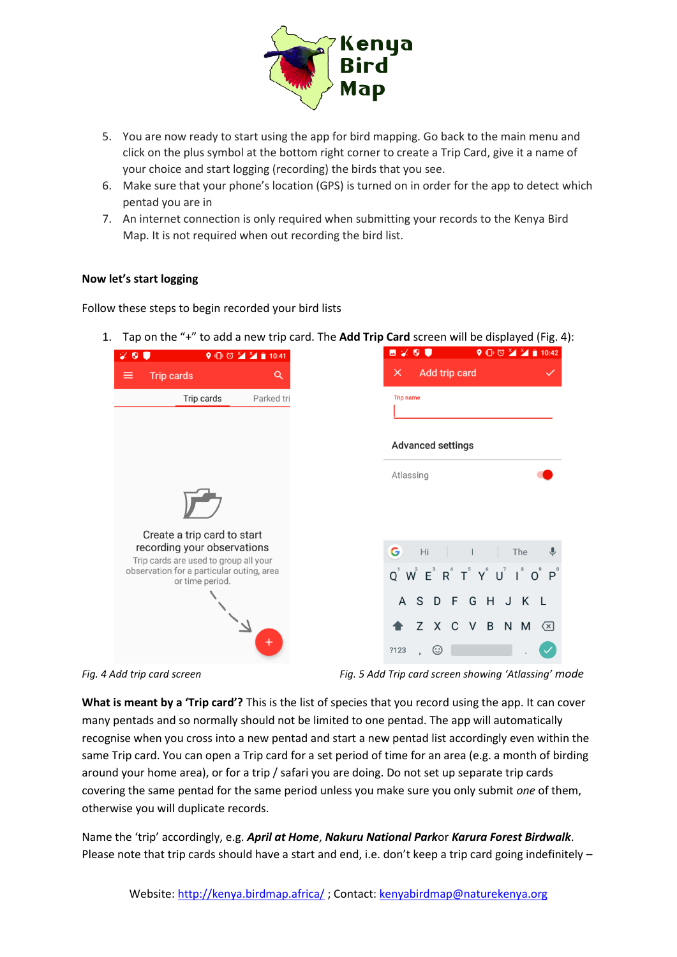

- 5. You are now ready to start using the app for bird mapping. Go back to the main menu and click on the plus symbol at the bottom right corner to create a Trip Card, give it a name of your choice and start logging (recording) the birds that you see.
- 6. Make sure that your phone's location (GPS) is turned on in order for the app to detect which pentad you are in
- 7. An internet connection is only required when submitting your records to the Kenya Bird Map. It is not required when out recording the bird list.

#### **Now let's start logging**

Follow these steps to begin recorded your bird lists

1. Tap on the "+" to add a new trip card. The **Add Trip Card** screen will be displayed (Fig. 4):

| G<br>$Q^1$ $W^2$ $E^3$ $R^4$ $T^5$ $Y^6$ $U^7$ $I^8$ $Q^9$ $P^9$ |
|------------------------------------------------------------------|
|                                                                  |
|                                                                  |
| ?123                                                             |

*Fig. 4 Add trip card screen Fig. 5 Add Trip card screen showing 'Atlassing' mode*

**What is meant by a 'Trip card'?** This is the list of species that you record using the app. It can cover many pentads and so normally should not be limited to one pentad. The app will automatically recognise when you cross into a new pentad and start a new pentad list accordingly even within the same Trip card. You can open a Trip card for a set period of time for an area (e.g. a month of birding around your home area), or for a trip / safari you are doing. Do not set up separate trip cards covering the same pentad for the same period unless you make sure you only submit *one* of them, otherwise you will duplicate records.

Name the 'trip' accordingly, e.g. *April at Home*, *Nakuru National Park*or *Karura Forest Birdwalk*. Please note that trip cards should have a start and end, i.e. don't keep a trip card going indefinitely –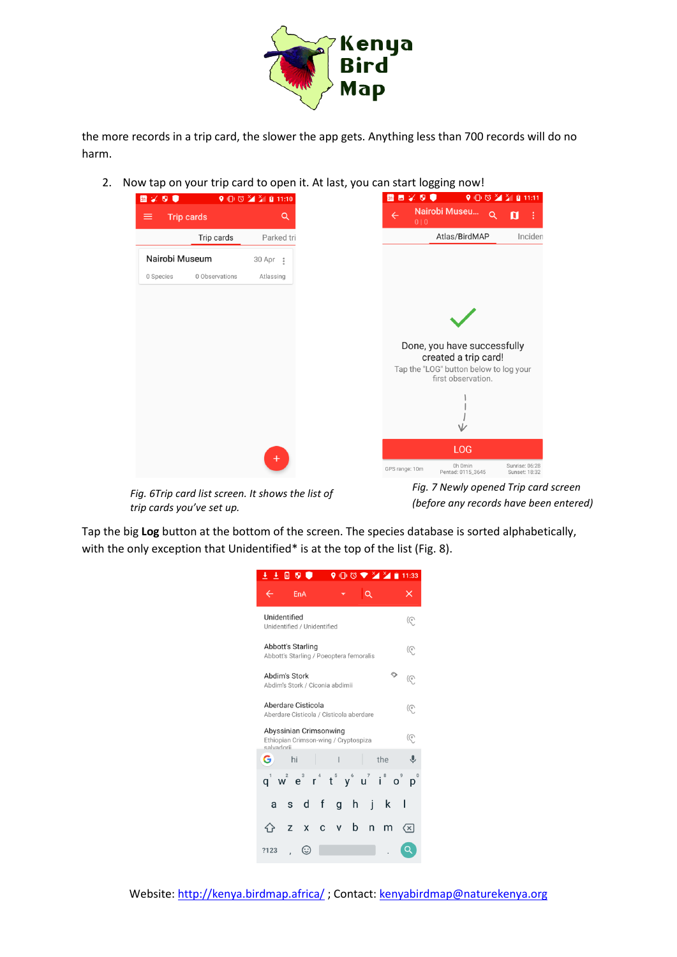

the more records in a trip card, the slower the app gets. Anything less than 700 records will do no harm.

2. Now tap on your trip card to open it. At last, you can start logging now!



*Fig. 6Trip card list screen. It shows the list of trip cards you've set up.*

*Fig. 7 Newly opened Trip card screen (before any records have been entered)*

Tap the big **Log** button at the bottom of the screen. The species database is sorted alphabetically, with the only exception that Unidentified\* is at the top of the list (Fig. 8).

|                                                                                    | ± ± ⊡ ♥ ●                                             |          |   |              |    |   | ◑▯◔▾ଆଆ | 11:33        |
|------------------------------------------------------------------------------------|-------------------------------------------------------|----------|---|--------------|----|---|--------|--------------|
|                                                                                    | EnA                                                   |          |   |              |    | Q |        | ×            |
| Unidentified<br>Unidentified / Unidentified                                        |                                                       |          |   |              | (ල |   |        |              |
| Abbott's Starling<br>(ල<br>Abbott's Starling / Poeoptera femoralis                 |                                                       |          |   |              |    |   |        |              |
| ⊙<br>Abdim's Stork<br>(ি<br>Abdim's Stork / Ciconia abdimii                        |                                                       |          |   |              |    |   |        |              |
| Aberdare Cisticola<br>(೯<br>Aberdare Cisticola / Cisticola aberdare                |                                                       |          |   |              |    |   |        |              |
| Abyssinian Crimsonwing<br>(ල<br>Ethiopian Crimson-wing / Cryptospiza<br>salvadorii |                                                       |          |   |              |    |   |        |              |
| G                                                                                  | hi                                                    |          |   |              |    |   | the    |              |
|                                                                                    | $q^1$ $w^2$ $e^3$ $r^4$ $t^5$ $y^6$ $u^7$ $i^8$ $o^9$ |          |   |              |    |   |        |              |
| a                                                                                  | S.                                                    | d f      |   | g            | h  | j | k      |              |
|                                                                                    | Z                                                     | <b>X</b> | C | $\mathsf{V}$ | b  | n | m      | $\langle x $ |
| ?123                                                                               |                                                       | (∷       |   |              |    |   |        |              |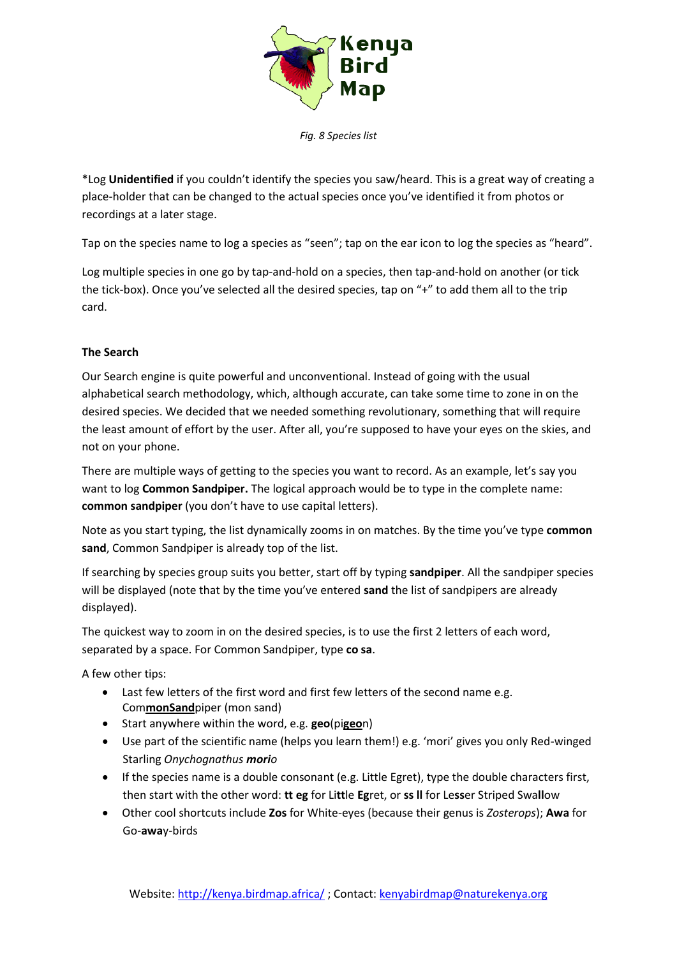

*Fig. 8 Species list*

\*Log **Unidentified** if you couldn't identify the species you saw/heard. This is a great way of creating a place-holder that can be changed to the actual species once you've identified it from photos or recordings at a later stage.

Tap on the species name to log a species as "seen"; tap on the ear icon to log the species as "heard".

Log multiple species in one go by tap-and-hold on a species, then tap-and-hold on another (or tick the tick-box). Once you've selected all the desired species, tap on "+" to add them all to the trip card.

### **The Search**

Our Search engine is quite powerful and unconventional. Instead of going with the usual alphabetical search methodology, which, although accurate, can take some time to zone in on the desired species. We decided that we needed something revolutionary, something that will require the least amount of effort by the user. After all, you're supposed to have your eyes on the skies, and not on your phone.

There are multiple ways of getting to the species you want to record. As an example, let's say you want to log **Common Sandpiper.** The logical approach would be to type in the complete name: **common sandpiper** (you don't have to use capital letters).

Note as you start typing, the list dynamically zooms in on matches. By the time you've type **common sand**, Common Sandpiper is already top of the list.

If searching by species group suits you better, start off by typing **sandpiper**. All the sandpiper species will be displayed (note that by the time you've entered **sand** the list of sandpipers are already displayed).

The quickest way to zoom in on the desired species, is to use the first 2 letters of each word, separated by a space. For Common Sandpiper, type **co sa**.

A few other tips:

- Last few letters of the first word and first few letters of the second name e.g. Com**monSand**piper (mon sand)
- Start anywhere within the word, e.g. **geo**(pi**geo**n)
- Use part of the scientific name (helps you learn them!) e.g. 'mori' gives you only Red-winged Starling *Onychognathus morio*
- If the species name is a double consonant (e.g. Little Egret), type the double characters first, then start with the other word: **tt eg** for Li**tt**le **Eg**ret, or **ss ll** for Le**ss**er Striped Swa**ll**ow
- Other cool shortcuts include **Zos** for White-eyes (because their genus is *Zosterops*); **Awa** for Go-**awa**y-birds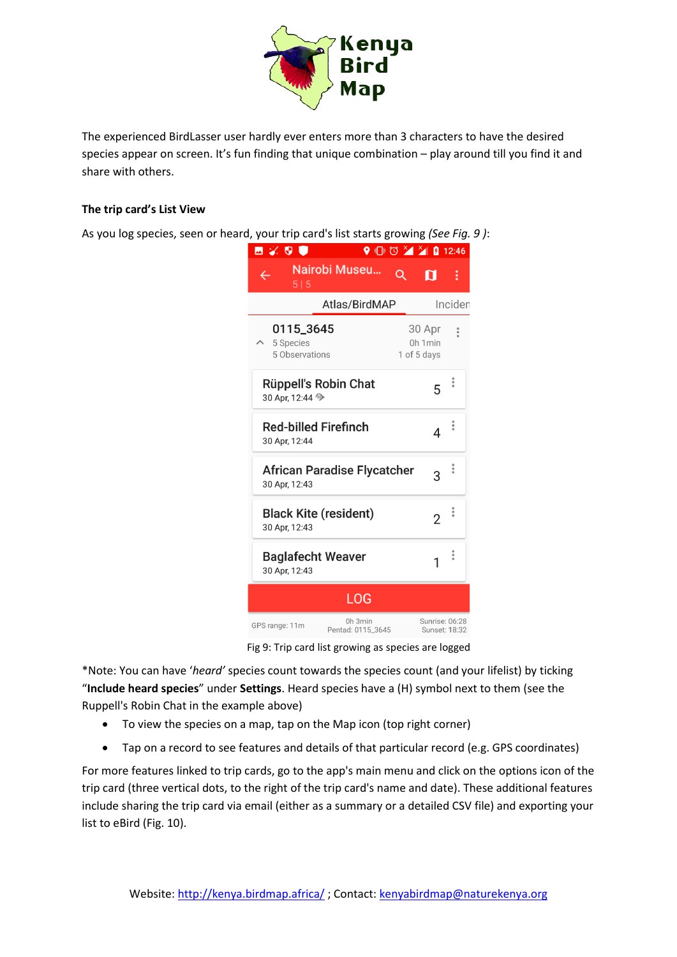

The experienced BirdLasser user hardly ever enters more than 3 characters to have the desired species appear on screen. It's fun finding that unique combination – play around till you find it and share with others.

#### **The trip card's List View**

As you log species, seen or heard, your trip card's list starts growing *(See Fig. 9 )*:

| ⊠ % 9 ♥                                                   |                              |   | $\bigcirc$ $\bigcirc$ $\bigcirc$ $\bigcirc$ $\bigcirc$ $\bigcirc$ $\bigcirc$ $\bigcirc$ $\bigcirc$ 12:46 |                      |
|-----------------------------------------------------------|------------------------------|---|----------------------------------------------------------------------------------------------------------|----------------------|
| 515                                                       | Nairobi Museu                | Q | ព                                                                                                        | ÷                    |
| Atlas/BirdMAP<br>Inciden                                  |                              |   |                                                                                                          |                      |
| 0115_3645<br>5 Species<br>5 Observations                  |                              |   | 30 Apr<br>0h 1 min<br>1 of 5 days                                                                        | $\frac{1}{2}$        |
| <b>Rüppell's Robin Chat</b><br>30 Apr, 12:44 <sup>1</sup> |                              |   | 5                                                                                                        | $\ddot{\phantom{a}}$ |
| <b>Red-billed Firefinch</b><br>30 Apr, 12:44              |                              |   | 4                                                                                                        | $\ddot{\phantom{0}}$ |
| <b>African Paradise Flycatcher</b><br>3<br>30 Apr, 12:43  |                              |   |                                                                                                          |                      |
| <b>Black Kite (resident)</b><br>2<br>30 Apr, 12:43        |                              |   |                                                                                                          | $\ddot{\phantom{a}}$ |
| <b>Baglafecht Weaver</b><br>30 Apr, 12:43                 |                              |   |                                                                                                          |                      |
|                                                           | LOG                          |   |                                                                                                          |                      |
| GPS range: 11m                                            | 0h 3min<br>Pentad: 0115_3645 |   | Sunrise: 06:28<br>Sunset: 18:32                                                                          |                      |

Fig 9: Trip card list growing as species are logged

\*Note: You can have '*heard'* species count towards the species count (and your lifelist) by ticking "**Include heard species**" under **Settings**. Heard species have a (H) symbol next to them (see the Ruppell's Robin Chat in the example above)

- To view the species on a map, tap on the Map icon (top right corner)
- Tap on a record to see features and details of that particular record (e.g. GPS coordinates)

For more features linked to trip cards, go to the app's main menu and click on the options icon of the trip card (three vertical dots, to the right of the trip card's name and date). These additional features include sharing the trip card via email (either as a summary or a detailed CSV file) and exporting your list to eBird (Fig. 10).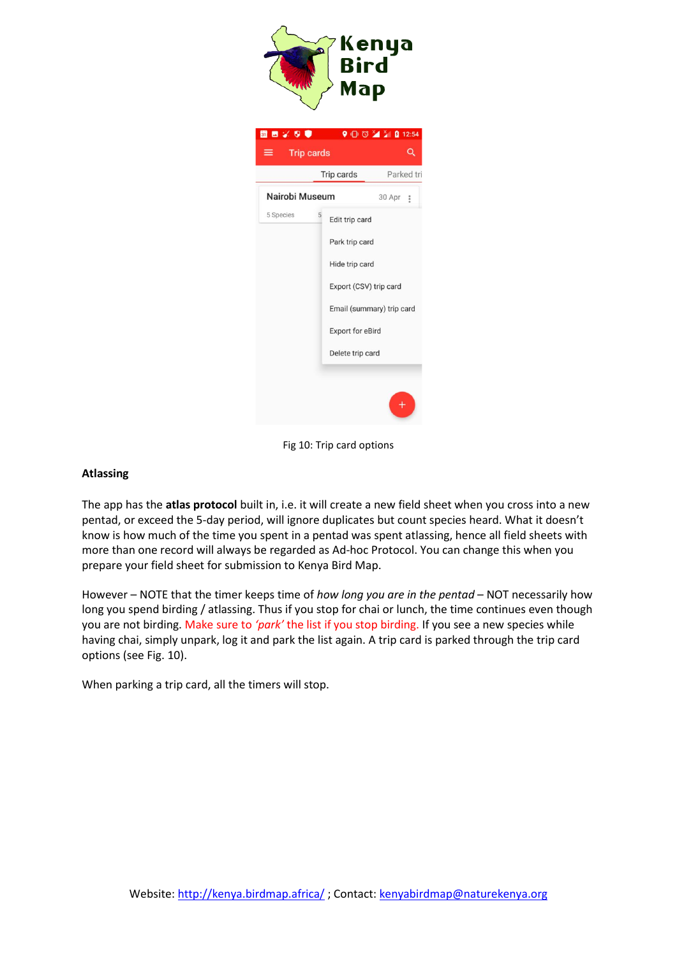

Fig 10: Trip card options

#### **Atlassing**

The app has the **atlas protocol** built in, i.e. it will create a new field sheet when you cross into a new pentad, or exceed the 5-day period, will ignore duplicates but count species heard. What it doesn't know is how much of the time you spent in a pentad was spent atlassing, hence all field sheets with more than one record will always be regarded as Ad-hoc Protocol. You can change this when you prepare your field sheet for submission to Kenya Bird Map.

However – NOTE that the timer keeps time of *how long you are in the pentad* – NOT necessarily how long you spend birding / atlassing. Thus if you stop for chai or lunch, the time continues even though you are not birding. Make sure to *'park'* the list if you stop birding. If you see a new species while having chai, simply unpark, log it and park the list again. A trip card is parked through the trip card options (see Fig. 10).

When parking a trip card, all the timers will stop.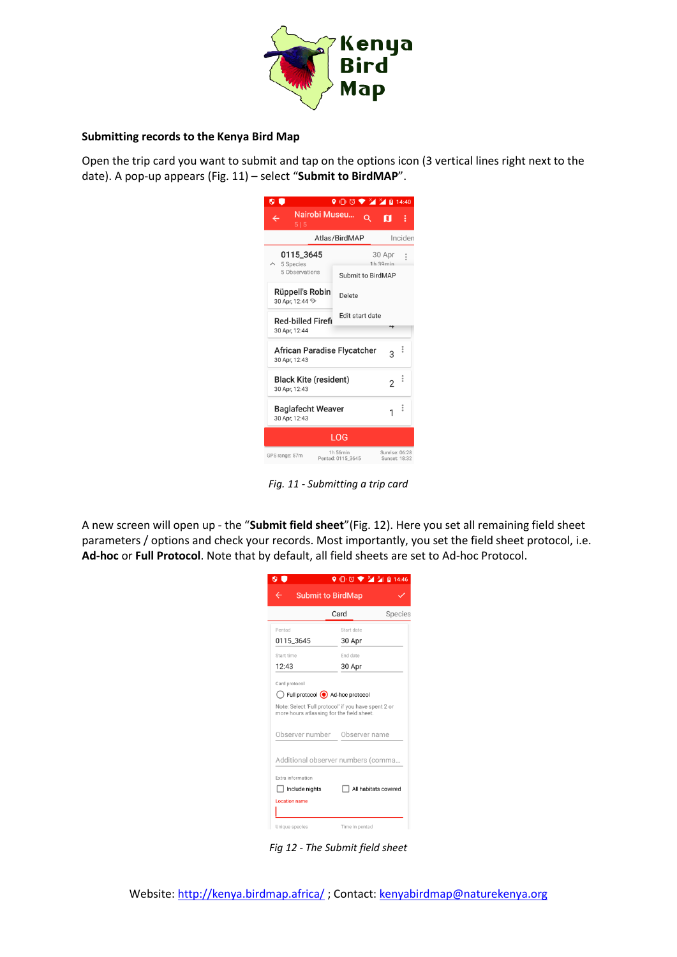

#### **Submitting records to the Kenya Bird Map**

Open the trip card you want to submit and tap on the options icon (3 vertical lines right next to the date). A pop-up appears (Fig. 11) – select "**Submit to BirdMAP**".

| 0 C                                                         | $\bigcirc$ $\bigcirc$ $\bigcirc$ $\bigcirc$ $\bigcirc$ $\bigcirc$ $\bigcirc$ $\bigcirc$ $\bigcirc$ $\bigcirc$ $\bigcirc$ $\bigcirc$ $\bigcirc$ $\bigcirc$ $\bigcirc$ $\bigcirc$ $\bigcirc$ $\bigcirc$ $\bigcirc$ $\bigcirc$ $\bigcirc$ $\bigcirc$ $\bigcirc$ $\bigcirc$ $\bigcirc$ $\bigcirc$ $\bigcirc$ $\bigcirc$ $\bigcirc$ $\bigcirc$ $\bigcirc$ $\bigcirc$ $\bigcirc$ $\bigcirc$ $\bigcirc$ $\bigcirc$ $\bigcirc$ |   |                                 |               |  |
|-------------------------------------------------------------|------------------------------------------------------------------------------------------------------------------------------------------------------------------------------------------------------------------------------------------------------------------------------------------------------------------------------------------------------------------------------------------------------------------------|---|---------------------------------|---------------|--|
| Nairobi Museu<br>$\leftarrow$<br>515                        |                                                                                                                                                                                                                                                                                                                                                                                                                        | Q | п                               | ŧ             |  |
| Inciden<br>Atlas/BirdMAP                                    |                                                                                                                                                                                                                                                                                                                                                                                                                        |   |                                 |               |  |
| 0115_3645<br>5 Species                                      |                                                                                                                                                                                                                                                                                                                                                                                                                        |   | 30 Apr<br>1h.39min              | $\frac{6}{3}$ |  |
| 5 Observations                                              | Submit to BirdMAP                                                                                                                                                                                                                                                                                                                                                                                                      |   |                                 |               |  |
| Rüppell's Robin<br>30 Apr. 12:44 <sup>9</sup>               | Delete                                                                                                                                                                                                                                                                                                                                                                                                                 |   |                                 |               |  |
| <b>Red-billed Firefi</b><br>30 Apr, 12:44                   | Edit start date                                                                                                                                                                                                                                                                                                                                                                                                        |   |                                 |               |  |
| African Paradise Flycatcher<br>ž<br>3<br>30 Apr. 12:43      |                                                                                                                                                                                                                                                                                                                                                                                                                        |   |                                 |               |  |
| i<br><b>Black Kite (resident)</b><br>2<br>30 Apr, 12:43     |                                                                                                                                                                                                                                                                                                                                                                                                                        |   |                                 |               |  |
| $\ddot{\cdot}$<br><b>Baglafecht Weaver</b><br>30 Apr, 12:43 |                                                                                                                                                                                                                                                                                                                                                                                                                        |   |                                 |               |  |
| LOG                                                         |                                                                                                                                                                                                                                                                                                                                                                                                                        |   |                                 |               |  |
| GPS range: 57m                                              | 1h 56min<br>Pentad: 0115_3645                                                                                                                                                                                                                                                                                                                                                                                          |   | Sunrise: 06:28<br>Sunset: 18:32 |               |  |

*Fig. 11 - Submitting a trip card*

A new screen will open up - the "**Submit field sheet**"(Fig. 12). Here you set all remaining field sheet parameters / options and check your records. Most importantly, you set the field sheet protocol, i.e. **Ad-hoc** or **Full Protocol**. Note that by default, all field sheets are set to Ad-hoc Protocol.

|                                                                                                  | $\bigcirc$ $\bigcirc$ $\bigcirc$ $\bigcirc$ $\bigcirc$ $\bigcirc$ $\bigcirc$ $\bigcirc$ $\bigcirc$ $\bigcirc$ 14:46 |  |  |  |  |
|--------------------------------------------------------------------------------------------------|---------------------------------------------------------------------------------------------------------------------|--|--|--|--|
| <b>Submit to BirdMap</b>                                                                         |                                                                                                                     |  |  |  |  |
| Card<br>Species                                                                                  |                                                                                                                     |  |  |  |  |
| Pentad                                                                                           | Start date                                                                                                          |  |  |  |  |
| 0115 3645                                                                                        | 30 Apr                                                                                                              |  |  |  |  |
| Start time                                                                                       | End date                                                                                                            |  |  |  |  |
| 12:43                                                                                            | 30 Apr                                                                                                              |  |  |  |  |
| Card protocol                                                                                    |                                                                                                                     |  |  |  |  |
| Full protocol ad-hoc protocol                                                                    |                                                                                                                     |  |  |  |  |
| Note: Select 'Full protocol' if you have spent 2 or<br>more hours atlassing for the field sheet. |                                                                                                                     |  |  |  |  |
| Observer number                                                                                  | Observer name                                                                                                       |  |  |  |  |
| Additional observer numbers (comma                                                               |                                                                                                                     |  |  |  |  |
| Extra information                                                                                |                                                                                                                     |  |  |  |  |
| Include nights                                                                                   | All habitats covered                                                                                                |  |  |  |  |
| Location name                                                                                    |                                                                                                                     |  |  |  |  |
|                                                                                                  |                                                                                                                     |  |  |  |  |
| Unique species                                                                                   | Time in pentad                                                                                                      |  |  |  |  |

*Fig 12 - The Submit field sheet*